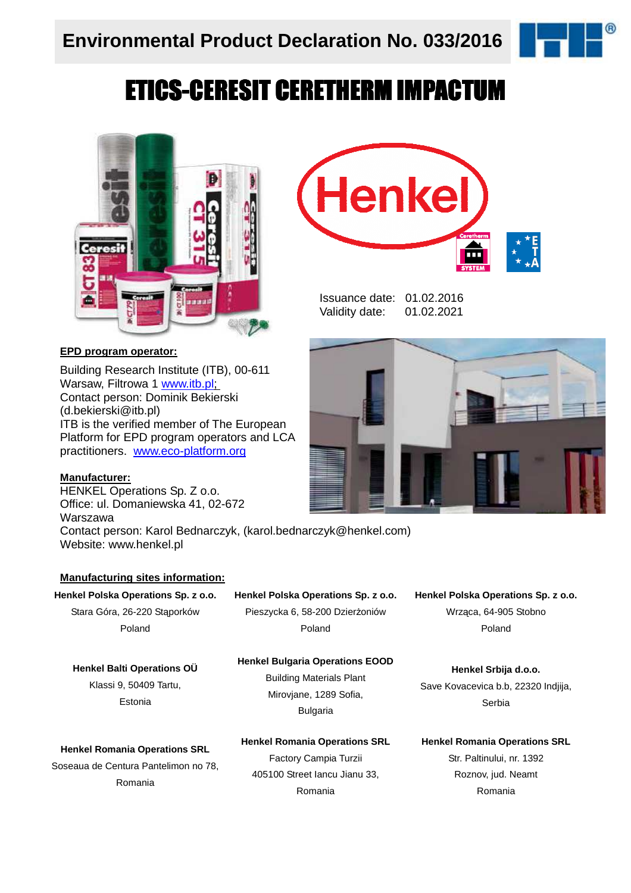

# ETICS-CERESIT CERETHERM IMPACTUM



#### **EPD program operator:**

Building Research Institute (ITB), 00-611 Warsaw, Filtrowa 1 www.itb.pl; Contact person: Dominik Bekierski (d.bekierski@itb.pl) ITB is the verified member of The European Platform for EPD program operators and LCA practitioners. www.eco-platform.org

#### **Manufacturer:**

HENKEL Operations Sp. Z o.o. Office: ul. Domaniewska 41, 02-672 Warszawa Contact person: Karol Bednarczyk, (karol.bednarczyk@henkel.com) Website: www.henkel.pl

#### **Manufacturing sites information:**

#### **Henkel Polska Operations Sp. z o.o.**

Stara Góra, 26-220 Stąporków Poland

**Henkel Balti Operations OÜ**  Klassi 9, 50409 Tartu,

Estonia

#### **Henkel Polska Operations Sp. z o.o.**

Pieszycka 6, 58-200 Dzierżoniów Poland

#### **Henkel Bulgaria Operations EOOD**

Building Materials Plant Mirovjane, 1289 Sofia, Bulgaria

**Henkel Romania Operations SRL** 

Soseaua de Centura Pantelimon no 78, Romania

**Henkel Romania Operations SRL** Factory Campia Turzii 405100 Street Iancu Jianu 33, Romania

**Henkel Polska Operations Sp. z o.o.** Wrząca, 64-905 Stobno Poland

**Henkel Srbija d.o.o.**  Save Kovacevica b.b, 22320 Indjija, Serbia

**Henkel Romania Operations SRL**

Str. Paltinului, nr. 1392 Roznov, jud. Neamt Romania



ш

Issuance date: 01.02.2016 Validity date: 01.02.2021

Henke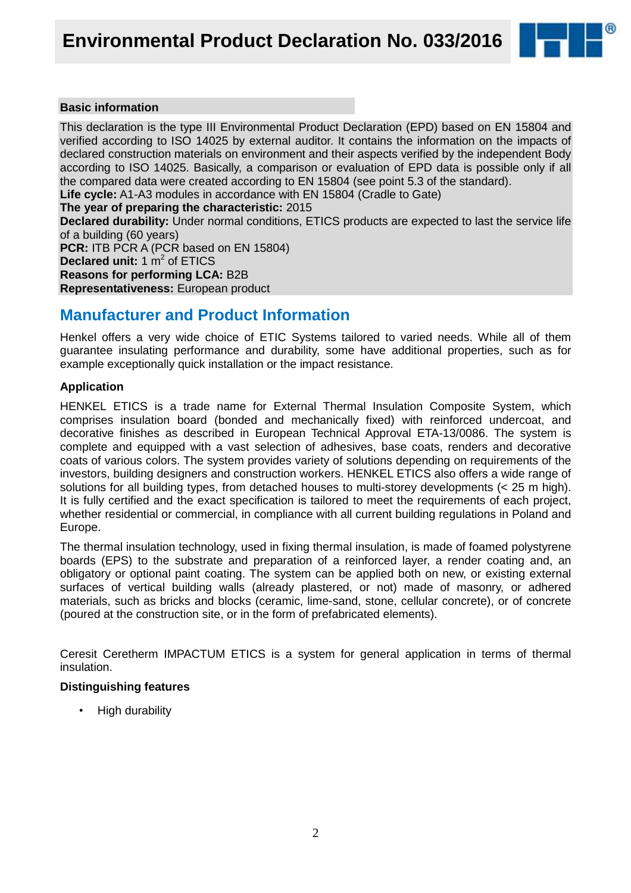

#### **Basic information**

This declaration is the type III Environmental Product Declaration (EPD) based on EN 15804 and verified according to ISO 14025 by external auditor. It contains the information on the impacts of declared construction materials on environment and their aspects verified by the independent Body according to ISO 14025. Basically, a comparison or evaluation of EPD data is possible only if all the compared data were created according to EN 15804 (see point 5.3 of the standard).

**Life cycle:** A1-A3 modules in accordance with EN 15804 (Cradle to Gate)

**The year of preparing the characteristic:** 2015

**Declared durability:** Under normal conditions, ETICS products are expected to last the service life of a building (60 years)

**PCR:** ITB PCR A (PCR based on EN 15804) **Declared unit:** 1 m<sup>2</sup> of ETICS **Reasons for performing LCA:** B2B **Representativeness:** European product

### **Manufacturer and Product Information**

Henkel offers a very wide choice of ETIC Systems tailored to varied needs. While all of them guarantee insulating performance and durability, some have additional properties, such as for example exceptionally quick installation or the impact resistance.

#### **Application**

HENKEL ETICS is a trade name for External Thermal Insulation Composite System, which comprises insulation board (bonded and mechanically fixed) with reinforced undercoat, and decorative finishes as described in European Technical Approval ETA-13/0086. The system is complete and equipped with a vast selection of adhesives, base coats, renders and decorative coats of various colors. The system provides variety of solutions depending on requirements of the investors, building designers and construction workers. HENKEL ETICS also offers a wide range of solutions for all building types, from detached houses to multi-storey developments (< 25 m high). It is fully certified and the exact specification is tailored to meet the requirements of each project, whether residential or commercial, in compliance with all current building regulations in Poland and Europe.

The thermal insulation technology, used in fixing thermal insulation, is made of foamed polystyrene boards (EPS) to the substrate and preparation of a reinforced layer, a render coating and, an obligatory or optional paint coating. The system can be applied both on new, or existing external surfaces of vertical building walls (already plastered, or not) made of masonry, or adhered materials, such as bricks and blocks (ceramic, lime-sand, stone, cellular concrete), or of concrete (poured at the construction site, or in the form of prefabricated elements).

Ceresit Ceretherm IMPACTUM ETICS is a system for general application in terms of thermal insulation.

#### **Distinguishing features**

• High durability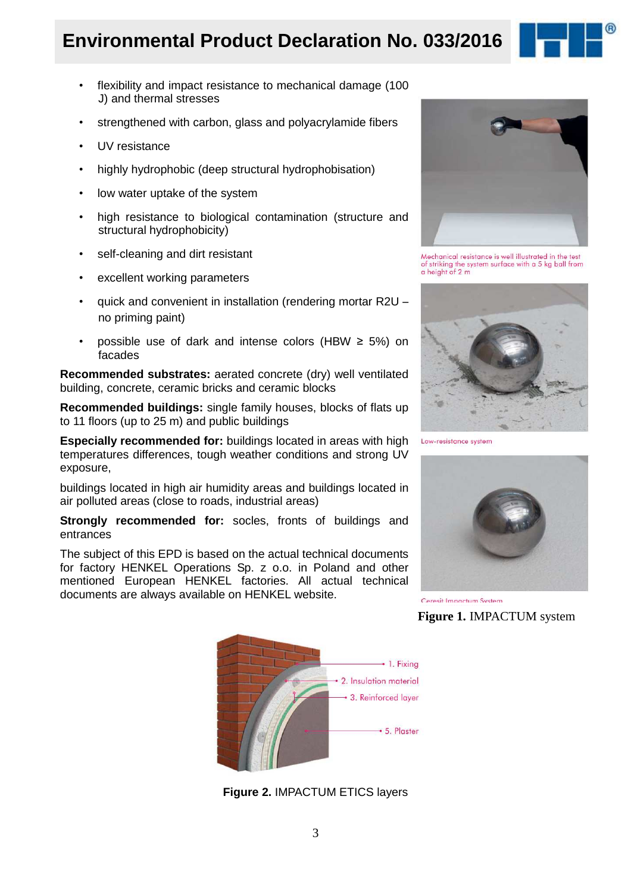### **Environmental Product Declaration No. 033/2016**

- flexibility and impact resistance to mechanical damage (100 J) and thermal stresses
- strengthened with carbon, glass and polyacrylamide fibers
- UV resistance
- highly hydrophobic (deep structural hydrophobisation)
- low water uptake of the system
- high resistance to biological contamination (structure and structural hydrophobicity)
- self-cleaning and dirt resistant
- excellent working parameters
- quick and convenient in installation (rendering mortar R2U no priming paint)
- possible use of dark and intense colors (HBW  $\geq$  5%) on facades

**Recommended substrates:** aerated concrete (dry) well ventilated building, concrete, ceramic bricks and ceramic blocks

**Recommended buildings:** single family houses, blocks of flats up to 11 floors (up to 25 m) and public buildings

**Especially recommended for:** buildings located in areas with high temperatures differences, tough weather conditions and strong UV exposure,

buildings located in high air humidity areas and buildings located in air polluted areas (close to roads, industrial areas)

**Strongly recommended for:** socles, fronts of buildings and entrances

The subject of this EPD is based on the actual technical documents for factory HENKEL Operations Sp. z o.o. in Poland and other mentioned European HENKEL factories. All actual technical documents are always available on HENKEL website.



Mechanical resistance is well illustrated in the test<br>of striking the system surface with a 5 kg ball from<br>a height of 2 m



Low-resistance system



Ceresit Impactum System

**Figure 1.** IMPACTUM system



**Figure 2.** IMPACTUM ETICS layers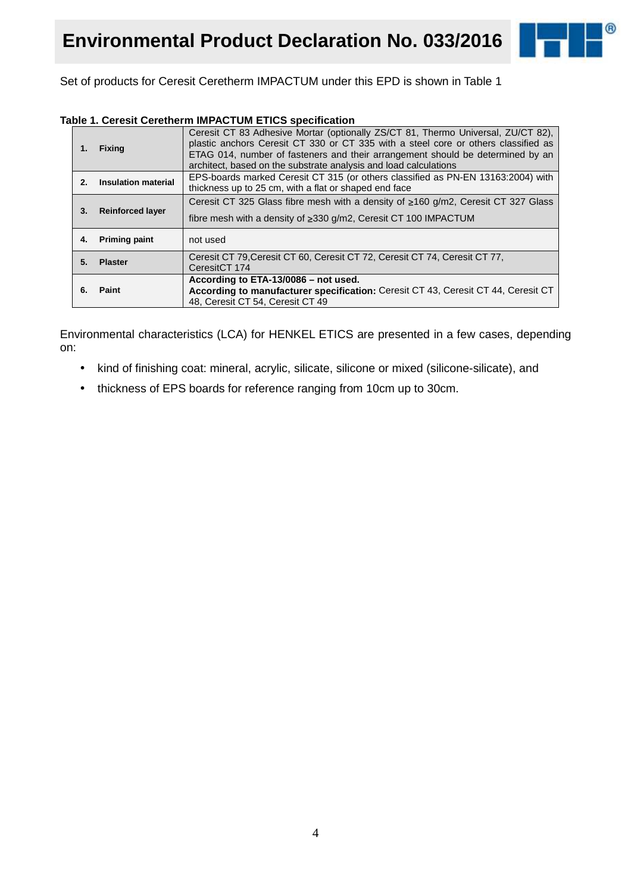

Set of products for Ceresit Ceretherm IMPACTUM under this EPD is shown in Table 1

#### **Table 1. Ceresit Ceretherm IMPACTUM ETICS specification**

| 1.      | <b>Fixing</b>              | Ceresit CT 83 Adhesive Mortar (optionally ZS/CT 81, Thermo Universal, ZU/CT 82),<br>plastic anchors Ceresit CT 330 or CT 335 with a steel core or others classified as<br>ETAG 014, number of fasteners and their arrangement should be determined by an<br>architect, based on the substrate analysis and load calculations |
|---------|----------------------------|------------------------------------------------------------------------------------------------------------------------------------------------------------------------------------------------------------------------------------------------------------------------------------------------------------------------------|
| $2_{-}$ | <b>Insulation material</b> | EPS-boards marked Ceresit CT 315 (or others classified as PN-EN 13163:2004) with<br>thickness up to 25 cm, with a flat or shaped end face                                                                                                                                                                                    |
|         |                            | Ceresit CT 325 Glass fibre mesh with a density of $\geq 160$ g/m2, Ceresit CT 327 Glass                                                                                                                                                                                                                                      |
| 3.      | <b>Reinforced layer</b>    | fibre mesh with a density of $\geq$ 330 g/m2, Ceresit CT 100 IMPACTUM                                                                                                                                                                                                                                                        |
| 4.      | <b>Priming paint</b>       | not used                                                                                                                                                                                                                                                                                                                     |
| 5.      | <b>Plaster</b>             | Ceresit CT 79, Ceresit CT 60, Ceresit CT 72, Ceresit CT 74, Ceresit CT 77,<br>CeresitCT 174                                                                                                                                                                                                                                  |
|         |                            | According to ETA-13/0086 - not used.                                                                                                                                                                                                                                                                                         |
| 6.      | Paint                      | According to manufacturer specification: Ceresit CT 43, Ceresit CT 44, Ceresit CT                                                                                                                                                                                                                                            |
|         |                            | 48, Ceresit CT 54, Ceresit CT 49                                                                                                                                                                                                                                                                                             |

Environmental characteristics (LCA) for HENKEL ETICS are presented in a few cases, depending on:

- kind of finishing coat: mineral, acrylic, silicate, silicone or mixed (silicone-silicate), and
- thickness of EPS boards for reference ranging from 10cm up to 30cm.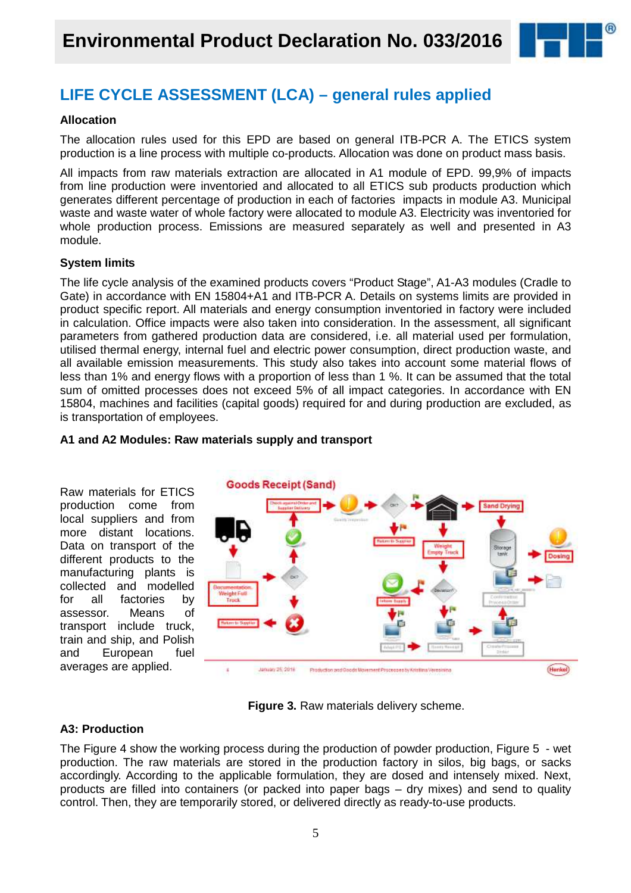

### **LIFE CYCLE ASSESSMENT (LCA) – general rules applied**

#### **Allocation**

The allocation rules used for this EPD are based on general ITB-PCR A. The ETICS system production is a line process with multiple co-products. Allocation was done on product mass basis.

All impacts from raw materials extraction are allocated in A1 module of EPD. 99,9% of impacts from line production were inventoried and allocated to all ETICS sub products production which generates different percentage of production in each of factories impacts in module A3. Municipal waste and waste water of whole factory were allocated to module A3. Electricity was inventoried for whole production process. Emissions are measured separately as well and presented in A3 module.

#### **System limits**

The life cycle analysis of the examined products covers "Product Stage", A1-A3 modules (Cradle to Gate) in accordance with EN 15804+A1 and ITB-PCR A. Details on systems limits are provided in product specific report. All materials and energy consumption inventoried in factory were included in calculation. Office impacts were also taken into consideration. In the assessment, all significant parameters from gathered production data are considered, i.e. all material used per formulation, utilised thermal energy, internal fuel and electric power consumption, direct production waste, and all available emission measurements. This study also takes into account some material flows of less than 1% and energy flows with a proportion of less than 1 %. It can be assumed that the total sum of omitted processes does not exceed 5% of all impact categories. In accordance with EN 15804, machines and facilities (capital goods) required for and during production are excluded, as is transportation of employees.



#### **A1 and A2 Modules: Raw materials supply and transport**

**Figure 3.** Raw materials delivery scheme.

#### **A3: Production**

The Figure 4 show the working process during the production of powder production, Figure 5 - wet production. The raw materials are stored in the production factory in silos, big bags, or sacks accordingly. According to the applicable formulation, they are dosed and intensely mixed. Next, products are filled into containers (or packed into paper bags – dry mixes) and send to quality control. Then, they are temporarily stored, or delivered directly as ready-to-use products.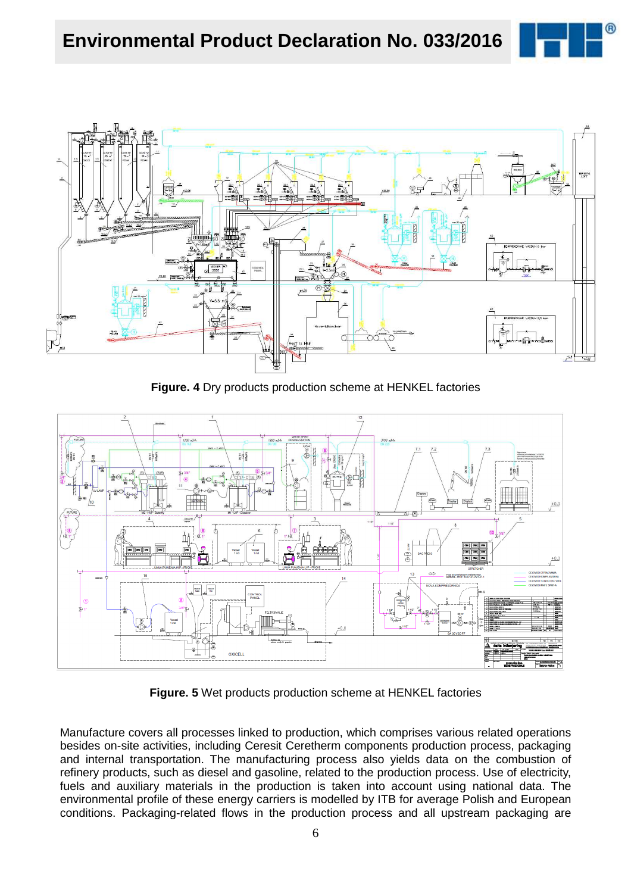



**Figure. 4** Dry products production scheme at HENKEL factories



**Figure. 5** Wet products production scheme at HENKEL factories

Manufacture covers all processes linked to production, which comprises various related operations besides on-site activities, including Ceresit Ceretherm components production process, packaging and internal transportation. The manufacturing process also yields data on the combustion of refinery products, such as diesel and gasoline, related to the production process. Use of electricity, fuels and auxiliary materials in the production is taken into account using national data. The environmental profile of these energy carriers is modelled by ITB for average Polish and European conditions. Packaging-related flows in the production process and all upstream packaging are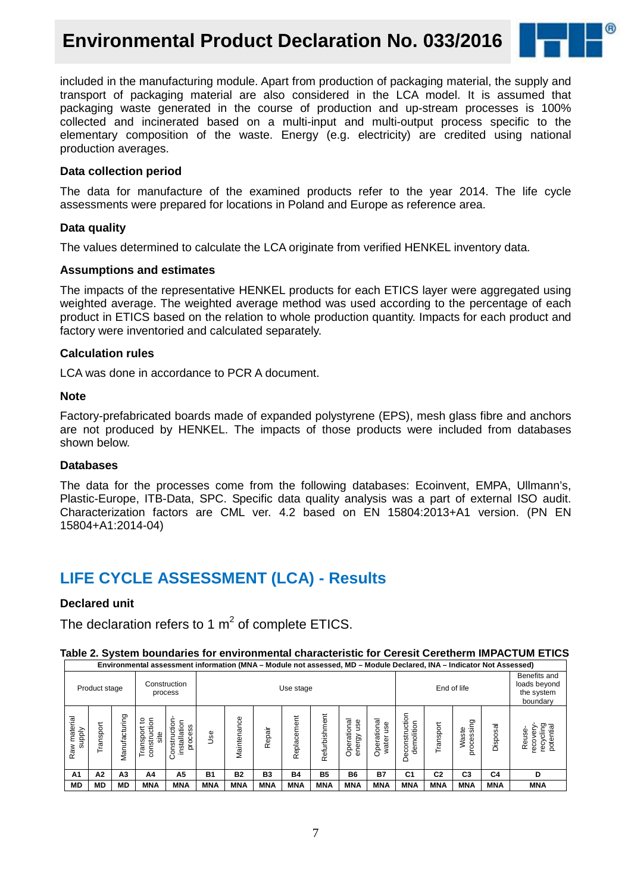## **Environmental Product Declaration No. 033/2016**



included in the manufacturing module. Apart from production of packaging material, the supply and transport of packaging material are also considered in the LCA model. It is assumed that packaging waste generated in the course of production and up-stream processes is 100% collected and incinerated based on a multi-input and multi-output process specific to the elementary composition of the waste. Energy (e.g. electricity) are credited using national production averages.

#### **Data collection period**

The data for manufacture of the examined products refer to the year 2014. The life cycle assessments were prepared for locations in Poland and Europe as reference area.

#### **Data quality**

The values determined to calculate the LCA originate from verified HENKEL inventory data.

#### **Assumptions and estimates**

The impacts of the representative HENKEL products for each ETICS layer were aggregated using weighted average. The weighted average method was used according to the percentage of each product in ETICS based on the relation to whole production quantity. Impacts for each product and factory were inventoried and calculated separately.

#### **Calculation rules**

LCA was done in accordance to PCR A document.

#### **Note**

Factory-prefabricated boards made of expanded polystyrene (EPS), mesh glass fibre and anchors are not produced by HENKEL. The impacts of those products were included from databases shown below.

#### **Databases**

The data for the processes come from the following databases: Ecoinvent, EMPA, Ullmann's, Plastic-Europe, ITB-Data, SPC. Specific data quality analysis was a part of external ISO audit. Characterization factors are CML ver. 4.2 based on EN 15804:2013+A1 version. (PN EN 15804+A1:2014-04)

### **LIFE CYCLE ASSESSMENT (LCA) - Results**

#### **Declared unit**

The declaration refers to 1  $m^2$  of complete ETICS.

| Table 2. System boundaries for environmental characteristic for Ceresit Ceretherm IMPACTUM ETICS           |  |
|------------------------------------------------------------------------------------------------------------|--|
| Controller Declared UNA - Indicator Not Assessed University Oriental Assessed UNA - Indicator Not Assessed |  |

| Product stage                  |             |                     |                                        | Construction<br>process                       |            | Use stage   |            |             |               |                                   |                                | End of life                               |                | Benefits and<br>loads beyond<br>the system<br>boundary |            |                                                       |
|--------------------------------|-------------|---------------------|----------------------------------------|-----------------------------------------------|------------|-------------|------------|-------------|---------------|-----------------------------------|--------------------------------|-------------------------------------------|----------------|--------------------------------------------------------|------------|-------------------------------------------------------|
| material<br>Raw mate<br>supply | ť<br>ranspo | cturing<br>ğ<br>Man | construction<br>ೆ<br>Transport<br>site | Construction<br>installation<br>ဖ<br>ces<br>ğ | <b>Use</b> | Maintenance | Repair     | Replacement | Refurbishment | onal<br>use<br>Operatio<br>energy | rational<br>Φ<br>৯<br>ಕ<br>Ope | tion<br>demolition<br>ن<br>Ò٥<br>ä<br>Dec | Transport      | processing<br>Waste                                    | Disposal   | recycling<br>potential<br>Reuse-<br>reco <sup>,</sup> |
| A1                             | A2          | A <sub>3</sub>      | A4                                     | A5                                            | <b>B1</b>  | <b>B2</b>   | <b>B3</b>  | <b>B4</b>   | <b>B5</b>     | <b>B6</b>                         | <b>B7</b>                      | C <sub>1</sub>                            | C <sub>2</sub> | C <sub>3</sub>                                         | C4         | D                                                     |
| <b>MD</b>                      | <b>MD</b>   | <b>MD</b>           | <b>MNA</b>                             | <b>MNA</b>                                    | <b>MNA</b> | <b>MNA</b>  | <b>MNA</b> | <b>MNA</b>  | <b>MNA</b>    | <b>MNA</b>                        | <b>MNA</b>                     | <b>MNA</b>                                | <b>MNA</b>     | <b>MNA</b>                                             | <b>MNA</b> | <b>MNA</b>                                            |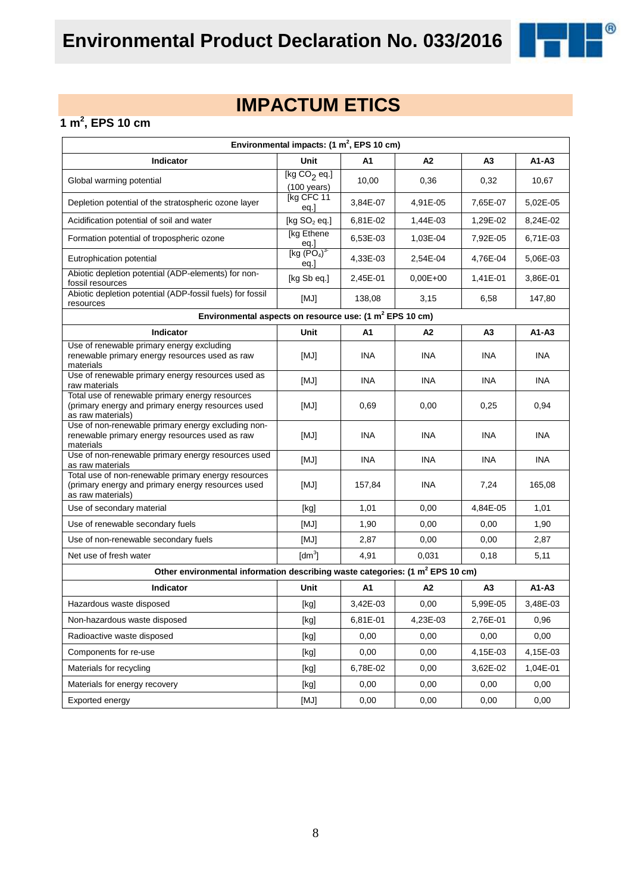

## **IMPACTUM ETICS**

#### **1 m<sup>2</sup> , EPS 10 cm**

| Environmental impacts: $(1 \text{ m}^2,$ EPS 10 cm)                                                                           |                                         |            |            |                |            |  |
|-------------------------------------------------------------------------------------------------------------------------------|-----------------------------------------|------------|------------|----------------|------------|--|
| Indicator                                                                                                                     | Unit                                    | A1         | A2         | A <sub>3</sub> | $A1 - A3$  |  |
| Global warming potential                                                                                                      | [kg $CO2$ eq.]<br>$(100 \text{ years})$ | 10,00      | 0,36       | 0,32           | 10,67      |  |
| Depletion potential of the stratospheric ozone layer                                                                          | [kg CFC 11<br>eq.]                      | 3,84E-07   | 4,91E-05   | 7,65E-07       | 5,02E-05   |  |
| Acidification potential of soil and water                                                                                     | [kg $SO2$ eq.]                          | 6,81E-02   | 1,44E-03   | 1,29E-02       | 8,24E-02   |  |
| Formation potential of tropospheric ozone                                                                                     | [kg Ethene<br>eq.]<br>[kg $(PO4)3$      | 6,53E-03   | 1,03E-04   | 7,92E-05       | 6,71E-03   |  |
| Eutrophication potential                                                                                                      | eq.]                                    | 4,33E-03   | 2,54E-04   | 4,76E-04       | 5,06E-03   |  |
| Abiotic depletion potential (ADP-elements) for non-<br>fossil resources                                                       | [kg Sb eq.]                             | 2,45E-01   | $0,00E+00$ | 1,41E-01       | 3,86E-01   |  |
| Abiotic depletion potential (ADP-fossil fuels) for fossil<br>resources                                                        | [MJ]                                    | 138,08     | 3,15       | 6,58           | 147,80     |  |
| Environmental aspects on resource use: (1 m <sup>2</sup> EPS 10 cm)                                                           |                                         |            |            |                |            |  |
| Indicator                                                                                                                     | Unit                                    | A1         | A2         | А3             | $A1 - A3$  |  |
| Use of renewable primary energy excluding<br>renewable primary energy resources used as raw<br>materials                      | [MJ]                                    | <b>INA</b> | <b>INA</b> | <b>INA</b>     | <b>INA</b> |  |
| Use of renewable primary energy resources used as<br>raw materials                                                            | [MJ]                                    | <b>INA</b> | <b>INA</b> | <b>INA</b>     | <b>INA</b> |  |
| Total use of renewable primary energy resources<br>(primary energy and primary energy resources used<br>as raw materials)     | [MJ]                                    | 0,69       | 0,00       | 0,25           | 0,94       |  |
| Use of non-renewable primary energy excluding non-<br>renewable primary energy resources used as raw<br>materials             | [MJ]                                    | <b>INA</b> | <b>INA</b> | <b>INA</b>     | <b>INA</b> |  |
| Use of non-renewable primary energy resources used<br>as raw materials                                                        | [MJ]                                    | <b>INA</b> | <b>INA</b> | <b>INA</b>     | <b>INA</b> |  |
| Total use of non-renewable primary energy resources<br>(primary energy and primary energy resources used<br>as raw materials) | [MJ]                                    | 157,84     | <b>INA</b> | 7,24           | 165,08     |  |
| Use of secondary material                                                                                                     | [kg]                                    | 1,01       | 0,00       | 4,84E-05       | 1,01       |  |
| Use of renewable secondary fuels                                                                                              | [MJ]                                    | 1,90       | 0,00       | 0,00           | 1,90       |  |
| Use of non-renewable secondary fuels                                                                                          | [MJ]                                    | 2,87       | 0,00       | 0,00           | 2,87       |  |
| Net use of fresh water                                                                                                        | $\text{Idm}^3$                          | 4,91       | 0,031      | 0,18           | 5,11       |  |
| Other environmental information describing waste categories: (1 m <sup>2</sup> EPS 10 cm)                                     |                                         |            |            |                |            |  |
| <b>Indicator</b>                                                                                                              | Unit                                    | A1         | A2         | A <sub>3</sub> | $A1 - A3$  |  |
| Hazardous waste disposed                                                                                                      | [kg]                                    | 3,42E-03   | 0,00       | 5,99E-05       | 3,48E-03   |  |
| Non-hazardous waste disposed                                                                                                  | [kg]                                    | 6,81E-01   | 4,23E-03   | 2,76E-01       | 0,96       |  |
| Radioactive waste disposed                                                                                                    | [kg]                                    | 0,00       | 0,00       | 0,00           | 0,00       |  |
| Components for re-use                                                                                                         | [kg]                                    | 0,00       | 0,00       | 4,15E-03       | 4,15E-03   |  |
| Materials for recycling                                                                                                       | [kg]                                    | 6,78E-02   | 0,00       | 3,62E-02       | 1,04E-01   |  |
| Materials for energy recovery                                                                                                 | [kg]                                    | 0,00       | 0,00       | 0,00           | 0,00       |  |
| Exported energy                                                                                                               | [MJ]                                    | 0,00       | 0,00       | 0,00           | 0,00       |  |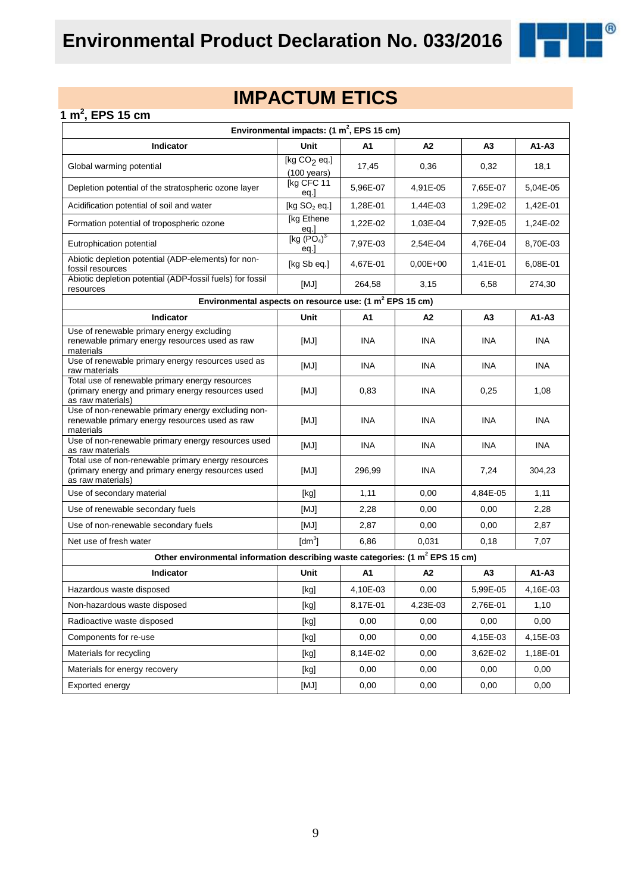

 $^{\circledR}$ 

#### **1 m<sup>2</sup> , EPS 15 cm**

| Environmental impacts: $(1 \text{ m}^2,$ EPS 15 cm)                                                                           |                                                                                                                                                                                                                                                                                                                                                                                                                                                                                                                                                                                                                                                                    |            |                |                |            |
|-------------------------------------------------------------------------------------------------------------------------------|--------------------------------------------------------------------------------------------------------------------------------------------------------------------------------------------------------------------------------------------------------------------------------------------------------------------------------------------------------------------------------------------------------------------------------------------------------------------------------------------------------------------------------------------------------------------------------------------------------------------------------------------------------------------|------------|----------------|----------------|------------|
| Indicator                                                                                                                     | <b>Unit</b>                                                                                                                                                                                                                                                                                                                                                                                                                                                                                                                                                                                                                                                        | A1         | A2             | A <sub>3</sub> | A1-A3      |
| Global warming potential                                                                                                      | [kg $CO2$ eq.]<br>$(100 \text{ years})$                                                                                                                                                                                                                                                                                                                                                                                                                                                                                                                                                                                                                            | 17,45      | 0,36           | 0,32           | 18,1       |
| Depletion potential of the stratospheric ozone layer                                                                          | [kg CFC 11<br>eq.]                                                                                                                                                                                                                                                                                                                                                                                                                                                                                                                                                                                                                                                 | 5,96E-07   | 4,91E-05       | 7,65E-07       | 5,04E-05   |
| Acidification potential of soil and water                                                                                     | [kg $SO2$ eq.]                                                                                                                                                                                                                                                                                                                                                                                                                                                                                                                                                                                                                                                     | 1,28E-01   | 1,44E-03       | 1,29E-02       | 1,42E-01   |
| Formation potential of tropospheric ozone                                                                                     | [kg Ethene<br><u>eq.]</u>                                                                                                                                                                                                                                                                                                                                                                                                                                                                                                                                                                                                                                          | 1,22E-02   | 1,03E-04       | 7,92E-05       | 1,24E-02   |
| Eutrophication potential                                                                                                      | [kg $(PO4)3$<br>eq.                                                                                                                                                                                                                                                                                                                                                                                                                                                                                                                                                                                                                                                | 7,97E-03   | 2.54E-04       | 4,76E-04       | 8,70E-03   |
| Abiotic depletion potential (ADP-elements) for non-<br>fossil resources                                                       | [kg Sb eq.]                                                                                                                                                                                                                                                                                                                                                                                                                                                                                                                                                                                                                                                        | 4,67E-01   | $0.00E + 00$   | 1,41E-01       | 6,08E-01   |
| Abiotic depletion potential (ADP-fossil fuels) for fossil<br>resources                                                        | [MJ]                                                                                                                                                                                                                                                                                                                                                                                                                                                                                                                                                                                                                                                               | 264,58     | 3,15           | 6,58           | 274,30     |
| Environmental aspects on resource use: (1 m <sup>2</sup> EPS 15 cm)                                                           |                                                                                                                                                                                                                                                                                                                                                                                                                                                                                                                                                                                                                                                                    |            |                |                |            |
| <b>Indicator</b>                                                                                                              | Unit                                                                                                                                                                                                                                                                                                                                                                                                                                                                                                                                                                                                                                                               | A1         | A <sub>2</sub> | A3             | $A1-A3$    |
| Use of renewable primary energy excluding<br>renewable primary energy resources used as raw<br>materials                      | [MJ]                                                                                                                                                                                                                                                                                                                                                                                                                                                                                                                                                                                                                                                               | INA.       | <b>INA</b>     | INA.           | <b>INA</b> |
| Use of renewable primary energy resources used as<br>raw materials                                                            | [MJ]                                                                                                                                                                                                                                                                                                                                                                                                                                                                                                                                                                                                                                                               | <b>INA</b> | <b>INA</b>     | INA.           | <b>INA</b> |
| Total use of renewable primary energy resources<br>(primary energy and primary energy resources used<br>as raw materials)     | [MJ]                                                                                                                                                                                                                                                                                                                                                                                                                                                                                                                                                                                                                                                               | 0,83       | INA            | 0,25           | 1,08       |
| Use of non-renewable primary energy excluding non-<br>renewable primary energy resources used as raw<br>materials             | [MJ]                                                                                                                                                                                                                                                                                                                                                                                                                                                                                                                                                                                                                                                               | <b>INA</b> | INA            | <b>INA</b>     | <b>INA</b> |
| Use of non-renewable primary energy resources used<br>as raw materials                                                        | [MJ]                                                                                                                                                                                                                                                                                                                                                                                                                                                                                                                                                                                                                                                               | <b>INA</b> | INA            | <b>INA</b>     | <b>INA</b> |
| Total use of non-renewable primary energy resources<br>(primary energy and primary energy resources used<br>as raw materials) | [MJ]                                                                                                                                                                                                                                                                                                                                                                                                                                                                                                                                                                                                                                                               | 296,99     | <b>INA</b>     | 7,24           | 304,23     |
| Use of secondary material                                                                                                     | [kg]                                                                                                                                                                                                                                                                                                                                                                                                                                                                                                                                                                                                                                                               | 1,11       | 0,00           | 4,84E-05       | 1,11       |
| Use of renewable secondary fuels                                                                                              | [MJ]                                                                                                                                                                                                                                                                                                                                                                                                                                                                                                                                                                                                                                                               | 2,28       | 0,00           | 0,00           | 2,28       |
| Use of non-renewable secondary fuels                                                                                          | [MJ]                                                                                                                                                                                                                                                                                                                                                                                                                                                                                                                                                                                                                                                               | 2,87       | 0,00           | 0,00           | 2,87       |
| Net use of fresh water                                                                                                        | $\text{[dm}^3$                                                                                                                                                                                                                                                                                                                                                                                                                                                                                                                                                                                                                                                     | 6,86       | 0,031          | 0,18           | 7,07       |
| Other environmental information describing waste categories: (1 m <sup>2</sup> EPS 15 cm)                                     |                                                                                                                                                                                                                                                                                                                                                                                                                                                                                                                                                                                                                                                                    |            |                |                |            |
| Indicator                                                                                                                     | Unit                                                                                                                                                                                                                                                                                                                                                                                                                                                                                                                                                                                                                                                               | A1         | A2             | A3             | A1-A3      |
| Hazardous waste disposed                                                                                                      | [kg]                                                                                                                                                                                                                                                                                                                                                                                                                                                                                                                                                                                                                                                               | 4,10E-03   | 0,00           | 5,99E-05       | 4,16E-03   |
| Non-hazardous waste disposed                                                                                                  | [kg]                                                                                                                                                                                                                                                                                                                                                                                                                                                                                                                                                                                                                                                               | 8,17E-01   | 4,23E-03       | 2,76E-01       | 1,10       |
| Radioactive waste disposed                                                                                                    | $[kg] % \begin{center} % \includegraphics[width=\linewidth]{imagesSupplemental_3.png} % \end{center} % \caption { % \textit{DefNet} of the \textit{DefNet} dataset. % Note that the \textit{DefNet} and \textit{DefNet} dataset. % Note that the \textit{DefNet} and \textit{DefNet} dataset. % Note that the \textit{DefNet} and \textit{DefNet} dataset. % Note that the \textit{DefNet} and \textit{DefNet} dataset. % Note that the \textit{DefNet} and \textit{DefNet} dataset. % Note that the \textit{DefNet} and \textit{DefNet} dataset. % Note that the \textit{DefNet} and \textit{DefNet} dataset. % Note that the \textit{DefNet} and \textit{DefNet$ | 0,00       | 0,00           | 0,00           | 0,00       |
| Components for re-use                                                                                                         | [kg]                                                                                                                                                                                                                                                                                                                                                                                                                                                                                                                                                                                                                                                               | 0,00       | 0,00           | 4,15E-03       | 4,15E-03   |
| Materials for recycling                                                                                                       | [kg]                                                                                                                                                                                                                                                                                                                                                                                                                                                                                                                                                                                                                                                               | 8,14E-02   | 0,00           | 3,62E-02       | 1,18E-01   |
| Materials for energy recovery                                                                                                 | [kg]                                                                                                                                                                                                                                                                                                                                                                                                                                                                                                                                                                                                                                                               | 0,00       | 0,00           | 0,00           | 0,00       |
| Exported energy                                                                                                               | [MJ]                                                                                                                                                                                                                                                                                                                                                                                                                                                                                                                                                                                                                                                               | 0,00       | 0,00           | 0,00           | 0,00       |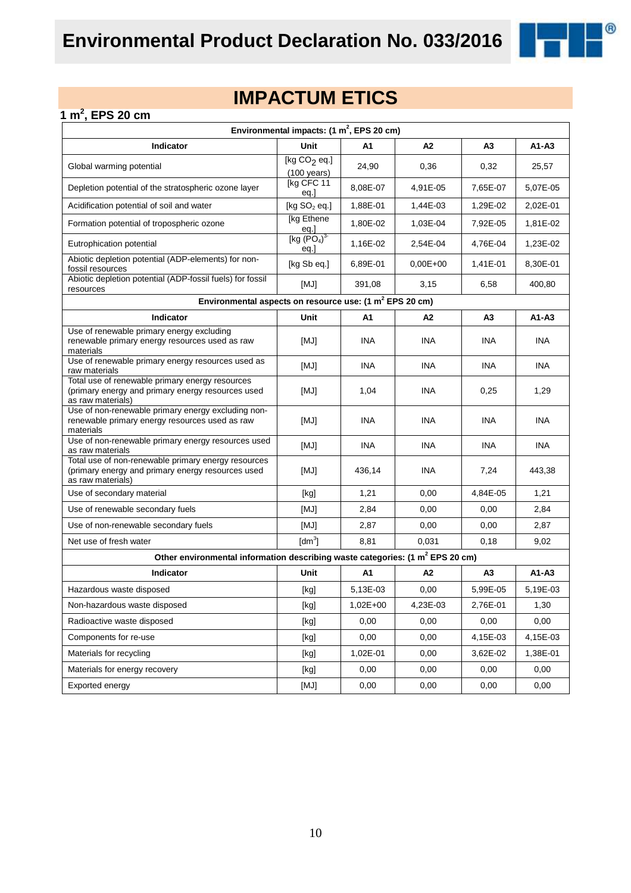

 $^{\circledR}$ 

#### **1 m<sup>2</sup> , EPS 20 cm**

| Environmental impacts: (1 m <sup>2</sup> , EPS 20 cm)                                                                         |                                                                                                                                                                                                                                                                                                                                                                                                                                                                                                                                                                                                                                                                    |            |                |                |            |
|-------------------------------------------------------------------------------------------------------------------------------|--------------------------------------------------------------------------------------------------------------------------------------------------------------------------------------------------------------------------------------------------------------------------------------------------------------------------------------------------------------------------------------------------------------------------------------------------------------------------------------------------------------------------------------------------------------------------------------------------------------------------------------------------------------------|------------|----------------|----------------|------------|
| Indicator                                                                                                                     | <b>Unit</b>                                                                                                                                                                                                                                                                                                                                                                                                                                                                                                                                                                                                                                                        | A1         | A2             | A <sub>3</sub> | $A1 - A3$  |
| Global warming potential                                                                                                      | [kg $CO2$ eq.]<br>$(100 \text{ years})$                                                                                                                                                                                                                                                                                                                                                                                                                                                                                                                                                                                                                            | 24,90      | 0,36           | 0,32           | 25,57      |
| Depletion potential of the stratospheric ozone layer                                                                          | [kg CFC 11<br>eq.]                                                                                                                                                                                                                                                                                                                                                                                                                                                                                                                                                                                                                                                 | 8,08E-07   | 4,91E-05       | 7,65E-07       | 5,07E-05   |
| Acidification potential of soil and water                                                                                     | [kg $SO2$ eq.]                                                                                                                                                                                                                                                                                                                                                                                                                                                                                                                                                                                                                                                     | 1,88E-01   | 1,44E-03       | 1,29E-02       | 2,02E-01   |
| Formation potential of tropospheric ozone                                                                                     | [kg Ethene<br>eq.]                                                                                                                                                                                                                                                                                                                                                                                                                                                                                                                                                                                                                                                 | 1,80E-02   | 1,03E-04       | 7,92E-05       | 1,81E-02   |
| Eutrophication potential                                                                                                      | [kg (PO <sub>4</sub> ) <sup>3</sup> ]<br>eq.                                                                                                                                                                                                                                                                                                                                                                                                                                                                                                                                                                                                                       | 1,16E-02   | 2,54E-04       | 4,76E-04       | 1,23E-02   |
| Abiotic depletion potential (ADP-elements) for non-<br>fossil resources                                                       | [kg Sb eq.]                                                                                                                                                                                                                                                                                                                                                                                                                                                                                                                                                                                                                                                        | 6,89E-01   | $0,00E+00$     | 1,41E-01       | 8,30E-01   |
| Abiotic depletion potential (ADP-fossil fuels) for fossil<br>resources                                                        | [MJ]                                                                                                                                                                                                                                                                                                                                                                                                                                                                                                                                                                                                                                                               | 391,08     | 3,15           | 6,58           | 400,80     |
| Environmental aspects on resource use: (1 m <sup>2</sup> EPS 20 cm)                                                           |                                                                                                                                                                                                                                                                                                                                                                                                                                                                                                                                                                                                                                                                    |            |                |                |            |
| <b>Indicator</b>                                                                                                              | Unit                                                                                                                                                                                                                                                                                                                                                                                                                                                                                                                                                                                                                                                               | A1         | A <sub>2</sub> | A <sub>3</sub> | A1-A3      |
| Use of renewable primary energy excluding<br>renewable primary energy resources used as raw<br>materials                      | [MJ]                                                                                                                                                                                                                                                                                                                                                                                                                                                                                                                                                                                                                                                               | INA.       | INA            | INA            | <b>INA</b> |
| Use of renewable primary energy resources used as<br>raw materials                                                            | [MJ]                                                                                                                                                                                                                                                                                                                                                                                                                                                                                                                                                                                                                                                               | <b>INA</b> | <b>INA</b>     | INA.           | <b>INA</b> |
| Total use of renewable primary energy resources<br>(primary energy and primary energy resources used<br>as raw materials)     | [MJ]                                                                                                                                                                                                                                                                                                                                                                                                                                                                                                                                                                                                                                                               | 1,04       | INA            | 0,25           | 1,29       |
| Use of non-renewable primary energy excluding non-<br>renewable primary energy resources used as raw<br>materials             | [MJ]                                                                                                                                                                                                                                                                                                                                                                                                                                                                                                                                                                                                                                                               | INA        | INA            | INA            | <b>INA</b> |
| Use of non-renewable primary energy resources used<br>as raw materials                                                        | [MJ]                                                                                                                                                                                                                                                                                                                                                                                                                                                                                                                                                                                                                                                               | <b>INA</b> | INA            | INA.           | <b>INA</b> |
| Total use of non-renewable primary energy resources<br>(primary energy and primary energy resources used<br>as raw materials) | [MJ]                                                                                                                                                                                                                                                                                                                                                                                                                                                                                                                                                                                                                                                               | 436,14     | INA            | 7,24           | 443,38     |
| Use of secondary material                                                                                                     | [kg]                                                                                                                                                                                                                                                                                                                                                                                                                                                                                                                                                                                                                                                               | 1,21       | 0,00           | 4,84E-05       | 1,21       |
| Use of renewable secondary fuels                                                                                              | [MJ]                                                                                                                                                                                                                                                                                                                                                                                                                                                                                                                                                                                                                                                               | 2,84       | 0,00           | 0,00           | 2,84       |
| Use of non-renewable secondary fuels                                                                                          | [MJ]                                                                                                                                                                                                                                                                                                                                                                                                                                                                                                                                                                                                                                                               | 2,87       | 0,00           | 0,00           | 2,87       |
| Net use of fresh water                                                                                                        | $\text{[dm}^3$                                                                                                                                                                                                                                                                                                                                                                                                                                                                                                                                                                                                                                                     | 8,81       | 0,031          | 0,18           | 9,02       |
| Other environmental information describing waste categories: (1 m <sup>2</sup> EPS 20 cm)                                     |                                                                                                                                                                                                                                                                                                                                                                                                                                                                                                                                                                                                                                                                    |            |                |                |            |
| Indicator                                                                                                                     | Unit                                                                                                                                                                                                                                                                                                                                                                                                                                                                                                                                                                                                                                                               | A1         | A2             | A3             | A1-A3      |
| Hazardous waste disposed                                                                                                      | [kg]                                                                                                                                                                                                                                                                                                                                                                                                                                                                                                                                                                                                                                                               | 5,13E-03   | 0,00           | 5,99E-05       | 5,19E-03   |
| Non-hazardous waste disposed                                                                                                  | $[kg] % \begin{center} % \includegraphics[width=\linewidth]{imagesSupplemental_3.png} % \end{center} % \caption { % \textit{DefNet} of the \textit{DefNet} dataset. % Note that the \textit{DefNet} and \textit{DefNet} dataset. % Note that the \textit{DefNet} and \textit{DefNet} dataset. % Note that the \textit{DefNet} and \textit{DefNet} dataset. % Note that the \textit{DefNet} and \textit{DefNet} dataset. % Note that the \textit{DefNet} and \textit{DefNet} dataset. % Note that the \textit{DefNet} and \textit{DefNet} dataset. % Note that the \textit{DefNet} and \textit{DefNet} dataset. % Note that the \textit{DefNet} and \textit{DefNet$ | $1,02E+00$ | 4,23E-03       | 2,76E-01       | 1,30       |
| Radioactive waste disposed                                                                                                    | [kg]                                                                                                                                                                                                                                                                                                                                                                                                                                                                                                                                                                                                                                                               | 0,00       | 0,00           | 0,00           | 0,00       |
| Components for re-use                                                                                                         | [kg]                                                                                                                                                                                                                                                                                                                                                                                                                                                                                                                                                                                                                                                               | 0,00       | 0,00           | 4,15E-03       | 4,15E-03   |
| Materials for recycling                                                                                                       | [kg]                                                                                                                                                                                                                                                                                                                                                                                                                                                                                                                                                                                                                                                               | 1,02E-01   | 0,00           | 3,62E-02       | 1,38E-01   |
| Materials for energy recovery                                                                                                 | [kg]                                                                                                                                                                                                                                                                                                                                                                                                                                                                                                                                                                                                                                                               | 0,00       | 0,00           | 0,00           | 0,00       |
| Exported energy                                                                                                               | [MJ]                                                                                                                                                                                                                                                                                                                                                                                                                                                                                                                                                                                                                                                               | 0,00       | 0,00           | 0,00           | 0,00       |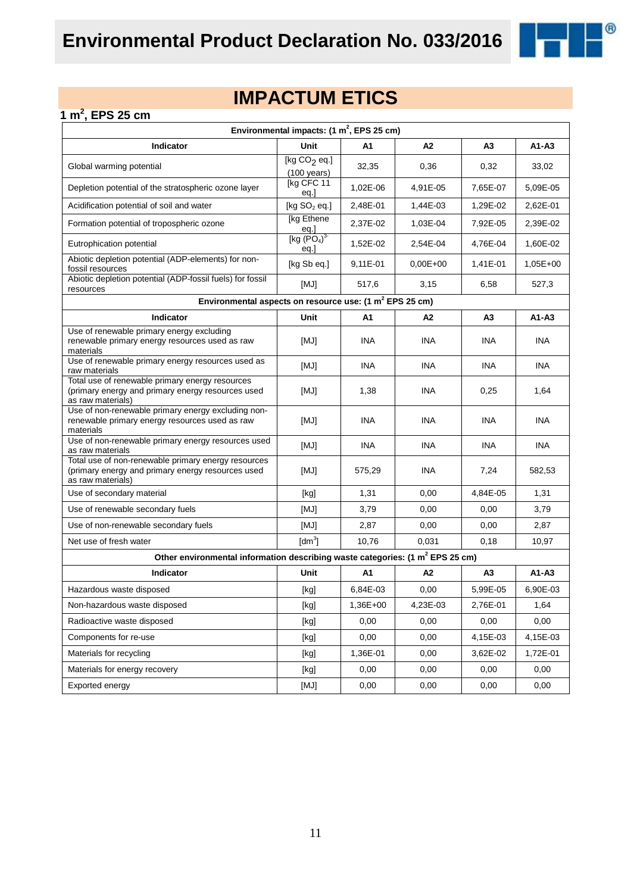

#### **1 m<sup>2</sup> , EPS 25 cm**

|                                                                                                                               | Environmental impacts: $(1 \text{ m}^2,$ EPS 25 cm)                                                                                                                                                                                                                                                                                                                                                                                                                                                                                                                                                                                                                                          |                |              |                |            |  |  |
|-------------------------------------------------------------------------------------------------------------------------------|----------------------------------------------------------------------------------------------------------------------------------------------------------------------------------------------------------------------------------------------------------------------------------------------------------------------------------------------------------------------------------------------------------------------------------------------------------------------------------------------------------------------------------------------------------------------------------------------------------------------------------------------------------------------------------------------|----------------|--------------|----------------|------------|--|--|
| Indicator                                                                                                                     | Unit                                                                                                                                                                                                                                                                                                                                                                                                                                                                                                                                                                                                                                                                                         | A1             | A2           | A3             | A1-A3      |  |  |
| Global warming potential                                                                                                      | [kg $CO2$ eq.]<br>$(100 \text{ years})$                                                                                                                                                                                                                                                                                                                                                                                                                                                                                                                                                                                                                                                      | 32,35          | 0,36         | 0,32           | 33,02      |  |  |
| Depletion potential of the stratospheric ozone layer                                                                          | [kg CFC 11<br>eq.]                                                                                                                                                                                                                                                                                                                                                                                                                                                                                                                                                                                                                                                                           | 1,02E-06       | 4,91E-05     | 7,65E-07       | 5,09E-05   |  |  |
| Acidification potential of soil and water                                                                                     | [kg $SO2$ eq.]                                                                                                                                                                                                                                                                                                                                                                                                                                                                                                                                                                                                                                                                               | 2,48E-01       | 1,44E-03     | 1,29E-02       | 2,62E-01   |  |  |
| Formation potential of tropospheric ozone                                                                                     | [kg Ethene<br>eq.]                                                                                                                                                                                                                                                                                                                                                                                                                                                                                                                                                                                                                                                                           | 2,37E-02       | 1,03E-04     | 7,92E-05       | 2,39E-02   |  |  |
| Eutrophication potential                                                                                                      | [kg (PO <sub>4</sub> ) <sup>3</sup> ]<br>eq.                                                                                                                                                                                                                                                                                                                                                                                                                                                                                                                                                                                                                                                 | 1,52E-02       | 2,54E-04     | 4,76E-04       | 1,60E-02   |  |  |
| Abiotic depletion potential (ADP-elements) for non-<br>fossil resources                                                       | [kg Sb eq.]                                                                                                                                                                                                                                                                                                                                                                                                                                                                                                                                                                                                                                                                                  | 9,11E-01       | $0.00E + 00$ | 1,41E-01       | $1,05E+00$ |  |  |
| Abiotic depletion potential (ADP-fossil fuels) for fossil<br>resources                                                        | [MJ]                                                                                                                                                                                                                                                                                                                                                                                                                                                                                                                                                                                                                                                                                         | 517,6          | 3,15         | 6,58           | 527,3      |  |  |
| Environmental aspects on resource use: (1 m <sup>2</sup> EPS 25 cm)                                                           |                                                                                                                                                                                                                                                                                                                                                                                                                                                                                                                                                                                                                                                                                              |                |              |                |            |  |  |
| Indicator                                                                                                                     | Unit                                                                                                                                                                                                                                                                                                                                                                                                                                                                                                                                                                                                                                                                                         | A1             | A2           | A3             | $A1-A3$    |  |  |
| Use of renewable primary energy excluding<br>renewable primary energy resources used as raw<br>materials                      | [MJ]                                                                                                                                                                                                                                                                                                                                                                                                                                                                                                                                                                                                                                                                                         | <b>INA</b>     | <b>INA</b>   | <b>INA</b>     | <b>INA</b> |  |  |
| Use of renewable primary energy resources used as<br>raw materials                                                            | [MJ]                                                                                                                                                                                                                                                                                                                                                                                                                                                                                                                                                                                                                                                                                         | <b>INA</b>     | <b>INA</b>   | <b>INA</b>     | <b>INA</b> |  |  |
| Total use of renewable primary energy resources<br>(primary energy and primary energy resources used<br>as raw materials)     | [MJ]                                                                                                                                                                                                                                                                                                                                                                                                                                                                                                                                                                                                                                                                                         | 1,38           | <b>INA</b>   | 0,25           | 1,64       |  |  |
| Use of non-renewable primary energy excluding non-<br>renewable primary energy resources used as raw<br>materials             | [MJ]                                                                                                                                                                                                                                                                                                                                                                                                                                                                                                                                                                                                                                                                                         | <b>INA</b>     | INA          | <b>INA</b>     | <b>INA</b> |  |  |
| Use of non-renewable primary energy resources used<br>as raw materials                                                        | [MJ]                                                                                                                                                                                                                                                                                                                                                                                                                                                                                                                                                                                                                                                                                         | <b>INA</b>     | <b>INA</b>   | <b>INA</b>     | <b>INA</b> |  |  |
| Total use of non-renewable primary energy resources<br>(primary energy and primary energy resources used<br>as raw materials) | [MJ]                                                                                                                                                                                                                                                                                                                                                                                                                                                                                                                                                                                                                                                                                         | 575,29         | <b>INA</b>   | 7,24           | 582,53     |  |  |
| Use of secondary material                                                                                                     | [kg]                                                                                                                                                                                                                                                                                                                                                                                                                                                                                                                                                                                                                                                                                         | 1,31           | 0,00         | 4,84E-05       | 1,31       |  |  |
| Use of renewable secondary fuels                                                                                              | [MJ]                                                                                                                                                                                                                                                                                                                                                                                                                                                                                                                                                                                                                                                                                         | 3,79           | 0,00         | 0,00           | 3,79       |  |  |
| Use of non-renewable secondary fuels                                                                                          | [MJ]                                                                                                                                                                                                                                                                                                                                                                                                                                                                                                                                                                                                                                                                                         | 2,87           | 0,00         | 0,00           | 2,87       |  |  |
| Net use of fresh water                                                                                                        | $\text{[dm}^3$                                                                                                                                                                                                                                                                                                                                                                                                                                                                                                                                                                                                                                                                               | 10,76          | 0,031        | 0,18           | 10,97      |  |  |
| Other environmental information describing waste categories: (1 m <sup>2</sup> EPS 25 cm)                                     |                                                                                                                                                                                                                                                                                                                                                                                                                                                                                                                                                                                                                                                                                              |                |              |                |            |  |  |
| Indicator                                                                                                                     | Unit                                                                                                                                                                                                                                                                                                                                                                                                                                                                                                                                                                                                                                                                                         | A <sub>1</sub> | A2           | A <sub>3</sub> | $A1 - A3$  |  |  |
| Hazardous waste disposed                                                                                                      | [kg]                                                                                                                                                                                                                                                                                                                                                                                                                                                                                                                                                                                                                                                                                         | 6,84E-03       | 0,00         | 5,99E-05       | 6,90E-03   |  |  |
| Non-hazardous waste disposed                                                                                                  | $[kg] % \begin{center} % \includegraphics[width=\linewidth]{imagesSupplemental/Imetad-Architecture.png} % \end{center} % \caption { % \begin{subfigure}[M5]{0.23\textwidth} \includegraphics[width=\linewidth]{imagesSupplemental/Imetad-Architecture.png} } % \end{subfigure} % \begin{subfigure}[M5]{0.23\textwidth} \includegraphics[width=\linewidth]{imagesSupplemental/Imetad-Architecture.png} } % \end{subfigure} % \caption { % \begin{subfigure}[M5]{0.23\textwidth} \includegraphics[width=\linewidth]{imagesSupplemental/Imetad-Architecture.png} } % \end{subfigure} % \caption{ % \begin{subfigure}[M5]{0.23\textwidth} \includegraphics[width=\linewidth]{imagesSupplemental$ | 1,36E+00       | 4,23E-03     | 2,76E-01       | 1,64       |  |  |
| Radioactive waste disposed                                                                                                    | $[kg] % \begin{center} % \includegraphics[width=\linewidth]{imagesSupplemental/Imetad-Architecture.png} % \end{center} % \caption { % \begin{subfigure}[M5]{0.23\textwidth} \includegraphics[width=\linewidth]{imagesSupplemental/Imetad-Architecture.png} } % \end{subfigure} % \begin{subfigure}[M5]{0.23\textwidth} \includegraphics[width=\linewidth]{imagesSupplemental/Imetad-Architecture.png} } % \end{subfigure} % \caption { % \begin{subfigure}[M5]{0.23\textwidth} \includegraphics[width=\linewidth]{imagesSupplemental/Imetad-Architecture.png} } % \end{subfigure} % \caption{ % \begin{subfigure}[M5]{0.23\textwidth} \includegraphics[width=\linewidth]{imagesSupplemental$ | 0,00           | 0,00         | 0,00           | 0,00       |  |  |
| Components for re-use                                                                                                         | $[kg] % \begin{center} % \includegraphics[width=\linewidth]{imagesSupplemental_3.png} % \end{center} % \caption { % Our method is used for the method. % The method is used in the image. % The method is used in the image. % } % \label{fig:example} %$                                                                                                                                                                                                                                                                                                                                                                                                                                    | 0,00           | 0,00         | 4,15E-03       | 4,15E-03   |  |  |
| Materials for recycling                                                                                                       | [kg]                                                                                                                                                                                                                                                                                                                                                                                                                                                                                                                                                                                                                                                                                         | 1,36E-01       | 0,00         | 3,62E-02       | 1,72E-01   |  |  |
| Materials for energy recovery                                                                                                 | $[kg] % \begin{center} % \includegraphics[width=\linewidth]{imagesSupplemental_3.png} % \end{center} % \caption { % Our method is used for the method. % The method is used in the image. % The method is used in the image. % } % \label{fig:example} %$                                                                                                                                                                                                                                                                                                                                                                                                                                    | 0,00           | 0,00         | 0,00           | 0,00       |  |  |
| Exported energy                                                                                                               | [MJ]                                                                                                                                                                                                                                                                                                                                                                                                                                                                                                                                                                                                                                                                                         | 0,00           | 0,00         | 0,00           | 0,00       |  |  |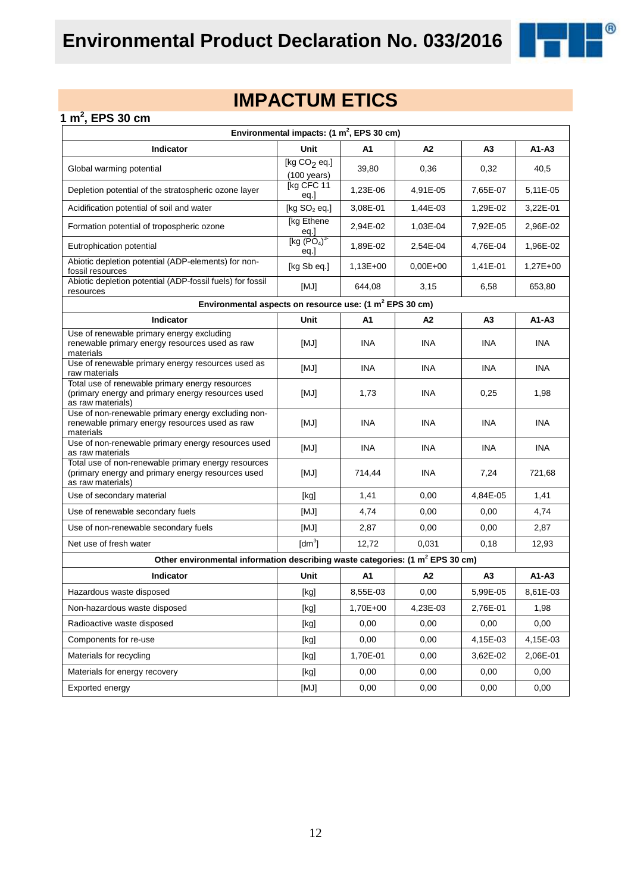

 $^{\circledR}$ 

#### **1 m<sup>2</sup> , EPS 30 cm**

| Environmental impacts: $(1 \text{ m}^2,$ EPS 30 cm)                                                                           |                                                                                                                                                                                                                                                                                                                                                                                                                                                                                                                                                                                                                                                                    |            |            |                |            |
|-------------------------------------------------------------------------------------------------------------------------------|--------------------------------------------------------------------------------------------------------------------------------------------------------------------------------------------------------------------------------------------------------------------------------------------------------------------------------------------------------------------------------------------------------------------------------------------------------------------------------------------------------------------------------------------------------------------------------------------------------------------------------------------------------------------|------------|------------|----------------|------------|
| Indicator                                                                                                                     | Unit                                                                                                                                                                                                                                                                                                                                                                                                                                                                                                                                                                                                                                                               | A1         | А2         | A <sub>3</sub> | A1-A3      |
| Global warming potential                                                                                                      | [kg $CO2$ eq.]<br>$(100 \text{ years})$                                                                                                                                                                                                                                                                                                                                                                                                                                                                                                                                                                                                                            | 39,80      | 0,36       | 0,32           | 40,5       |
| Depletion potential of the stratospheric ozone layer                                                                          | [kg CFC 11<br>eq.]                                                                                                                                                                                                                                                                                                                                                                                                                                                                                                                                                                                                                                                 | 1,23E-06   | 4,91E-05   | 7,65E-07       | 5,11E-05   |
| Acidification potential of soil and water                                                                                     | [ $kg SO2 eq.]$                                                                                                                                                                                                                                                                                                                                                                                                                                                                                                                                                                                                                                                    | 3,08E-01   | 1,44E-03   | 1,29E-02       | 3,22E-01   |
| Formation potential of tropospheric ozone                                                                                     | [kg Ethene]<br><u>eq.]</u>                                                                                                                                                                                                                                                                                                                                                                                                                                                                                                                                                                                                                                         | 2,94E-02   | 1,03E-04   | 7,92E-05       | 2,96E-02   |
| Eutrophication potential                                                                                                      | [kg (PO <sub>4</sub> ) <sup>3</sup> ]<br>eq.                                                                                                                                                                                                                                                                                                                                                                                                                                                                                                                                                                                                                       | 1.89E-02   | 2,54E-04   | 4,76E-04       | 1,96E-02   |
| Abiotic depletion potential (ADP-elements) for non-<br>fossil resources                                                       | [kg Sb eq.]                                                                                                                                                                                                                                                                                                                                                                                                                                                                                                                                                                                                                                                        | $1,13E+00$ | $0,00E+00$ | 1,41E-01       | $1,27E+00$ |
| Abiotic depletion potential (ADP-fossil fuels) for fossil<br>resources                                                        | [MJ]                                                                                                                                                                                                                                                                                                                                                                                                                                                                                                                                                                                                                                                               | 644,08     | 3,15       | 6,58           | 653,80     |
| Environmental aspects on resource use: (1 m <sup>2</sup> EPS 30 cm)                                                           |                                                                                                                                                                                                                                                                                                                                                                                                                                                                                                                                                                                                                                                                    |            |            |                |            |
| Indicator                                                                                                                     | Unit                                                                                                                                                                                                                                                                                                                                                                                                                                                                                                                                                                                                                                                               | A1         | А2         | A3             | $A1 - A3$  |
| Use of renewable primary energy excluding<br>renewable primary energy resources used as raw<br>materials                      | [MJ]                                                                                                                                                                                                                                                                                                                                                                                                                                                                                                                                                                                                                                                               | <b>INA</b> | <b>INA</b> | INA            | <b>INA</b> |
| Use of renewable primary energy resources used as<br>raw materials                                                            | [MJ]                                                                                                                                                                                                                                                                                                                                                                                                                                                                                                                                                                                                                                                               | INA        | <b>INA</b> | INA            | <b>INA</b> |
| Total use of renewable primary energy resources<br>(primary energy and primary energy resources used<br>as raw materials)     | [MJ]                                                                                                                                                                                                                                                                                                                                                                                                                                                                                                                                                                                                                                                               | 1,73       | INA        | 0,25           | 1,98       |
| Use of non-renewable primary energy excluding non-<br>renewable primary energy resources used as raw<br>materials             | [MJ]                                                                                                                                                                                                                                                                                                                                                                                                                                                                                                                                                                                                                                                               | <b>INA</b> | <b>INA</b> | <b>INA</b>     | <b>INA</b> |
| Use of non-renewable primary energy resources used<br>as raw materials                                                        | [MJ]                                                                                                                                                                                                                                                                                                                                                                                                                                                                                                                                                                                                                                                               | INA        | <b>INA</b> | INA            | <b>INA</b> |
| Total use of non-renewable primary energy resources<br>(primary energy and primary energy resources used<br>as raw materials) | [MJ]                                                                                                                                                                                                                                                                                                                                                                                                                                                                                                                                                                                                                                                               | 714,44     | INA        | 7,24           | 721,68     |
| Use of secondary material                                                                                                     | [kg]                                                                                                                                                                                                                                                                                                                                                                                                                                                                                                                                                                                                                                                               | 1,41       | 0,00       | 4,84E-05       | 1,41       |
| Use of renewable secondary fuels                                                                                              | [MJ]                                                                                                                                                                                                                                                                                                                                                                                                                                                                                                                                                                                                                                                               | 4,74       | 0,00       | 0,00           | 4,74       |
| Use of non-renewable secondary fuels                                                                                          | [MJ]                                                                                                                                                                                                                                                                                                                                                                                                                                                                                                                                                                                                                                                               | 2,87       | 0,00       | 0,00           | 2,87       |
| Net use of fresh water                                                                                                        | [dm <sup>3</sup> ]                                                                                                                                                                                                                                                                                                                                                                                                                                                                                                                                                                                                                                                 | 12,72      | 0,031      | 0,18           | 12,93      |
| Other environmental information describing waste categories: (1 m <sup>2</sup> EPS 30 cm)                                     |                                                                                                                                                                                                                                                                                                                                                                                                                                                                                                                                                                                                                                                                    |            |            |                |            |
| <b>Indicator</b>                                                                                                              | Unit                                                                                                                                                                                                                                                                                                                                                                                                                                                                                                                                                                                                                                                               | A1         | A2         | A3             | A1-A3      |
| Hazardous waste disposed                                                                                                      | [kg]                                                                                                                                                                                                                                                                                                                                                                                                                                                                                                                                                                                                                                                               | 8,55E-03   | 0,00       | 5,99E-05       | 8,61E-03   |
| Non-hazardous waste disposed                                                                                                  | $[kg] % \begin{center} % \includegraphics[width=\linewidth]{imagesSupplemental_3.png} % \end{center} % \caption { % \textit{DefNet} of the \textit{DefNet} dataset. % Note that the \textit{DefNet} and \textit{DefNet} dataset. % Note that the \textit{DefNet} and \textit{DefNet} dataset. % Note that the \textit{DefNet} and \textit{DefNet} dataset. % Note that the \textit{DefNet} and \textit{DefNet} dataset. % Note that the \textit{DefNet} and \textit{DefNet} dataset. % Note that the \textit{DefNet} and \textit{DefNet} dataset. % Note that the \textit{DefNet} and \textit{DefNet} dataset. % Note that the \textit{DefNet} and \textit{DefNet$ | 1,70E+00   | 4,23E-03   | 2,76E-01       | 1,98       |
| Radioactive waste disposed                                                                                                    | [kg]                                                                                                                                                                                                                                                                                                                                                                                                                                                                                                                                                                                                                                                               | 0,00       | 0,00       | 0,00           | 0,00       |
| Components for re-use                                                                                                         | [kg]                                                                                                                                                                                                                                                                                                                                                                                                                                                                                                                                                                                                                                                               | 0,00       | 0,00       | 4,15E-03       | 4,15E-03   |
| Materials for recycling                                                                                                       | [kg]                                                                                                                                                                                                                                                                                                                                                                                                                                                                                                                                                                                                                                                               | 1,70E-01   | 0,00       | 3,62E-02       | 2,06E-01   |
| Materials for energy recovery                                                                                                 | [kg]                                                                                                                                                                                                                                                                                                                                                                                                                                                                                                                                                                                                                                                               | 0,00       | 0,00       | 0,00           | 0,00       |
| Exported energy                                                                                                               | [MJ]                                                                                                                                                                                                                                                                                                                                                                                                                                                                                                                                                                                                                                                               | 0,00       | 0,00       | 0,00           | 0,00       |